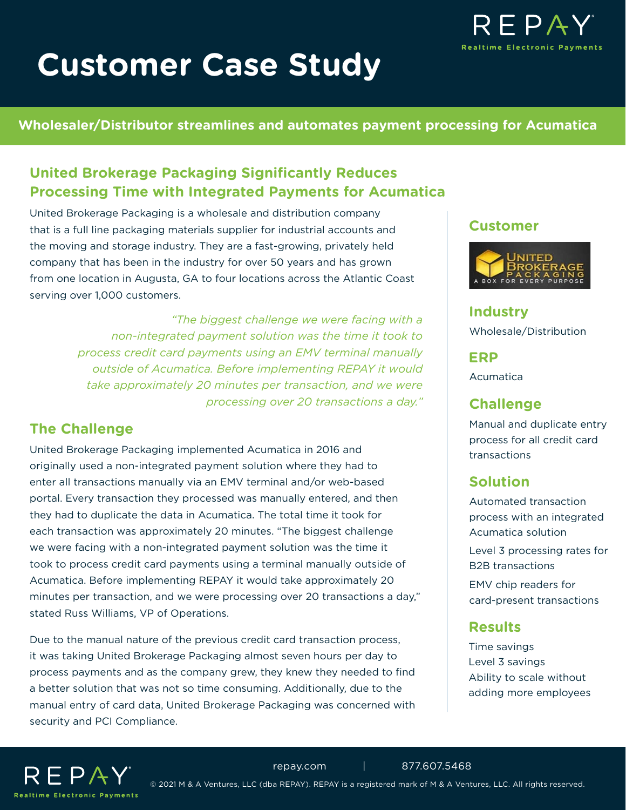# **Customer Case Study**



#### **Wholesaler/Distributor streamlines and automates payment processing for Acumatica**

# **United Brokerage Packaging Significantly Reduces Processing Time with Integrated Payments for Acumatica**

United Brokerage Packaging is a wholesale and distribution company that is a full line packaging materials supplier for industrial accounts and the moving and storage industry. They are a fast-growing, privately held company that has been in the industry for over 50 years and has grown from one location in Augusta, GA to four locations across the Atlantic Coast serving over 1,000 customers.

> *"The biggest challenge we were facing with a non-integrated payment solution was the time it took to process credit card payments using an EMV terminal manually outside of Acumatica. Before implementing REPAY it would take approximately 20 minutes per transaction, and we were processing over 20 transactions a day."*

## **The Challenge**

United Brokerage Packaging implemented Acumatica in 2016 and originally used a non-integrated payment solution where they had to enter all transactions manually via an EMV terminal and/or web-based portal. Every transaction they processed was manually entered, and then they had to duplicate the data in Acumatica. The total time it took for each transaction was approximately 20 minutes. "The biggest challenge we were facing with a non-integrated payment solution was the time it took to process credit card payments using a terminal manually outside of Acumatica. Before implementing REPAY it would take approximately 20 minutes per transaction, and we were processing over 20 transactions a day," stated Russ Williams, VP of Operations.

Due to the manual nature of the previous credit card transaction process, it was taking United Brokerage Packaging almost seven hours per day to process payments and as the company grew, they knew they needed to find a better solution that was not so time consuming. Additionally, due to the manual entry of card data, United Brokerage Packaging was concerned with security and PCI Compliance.

#### **Customer**



**Industry** Wholesale/Distribution

**ERP**

Acumatica

#### **Challenge**

Manual and duplicate entry process for all credit card transactions

# **Solution**

Automated transaction process with an integrated Acumatica solution Level 3 processing rates for B2B transactions

EMV chip readers for card-present transactions

## **Results**

Time savings Level 3 savings Ability to scale without adding more employees



© 2021 M & A Ventures, LLC (dba REPAY). REPAY is a registered mark of M & A Ventures, LLC. All rights reserved.

[repay.com](https://www.repay.com/) | 877.607.5468